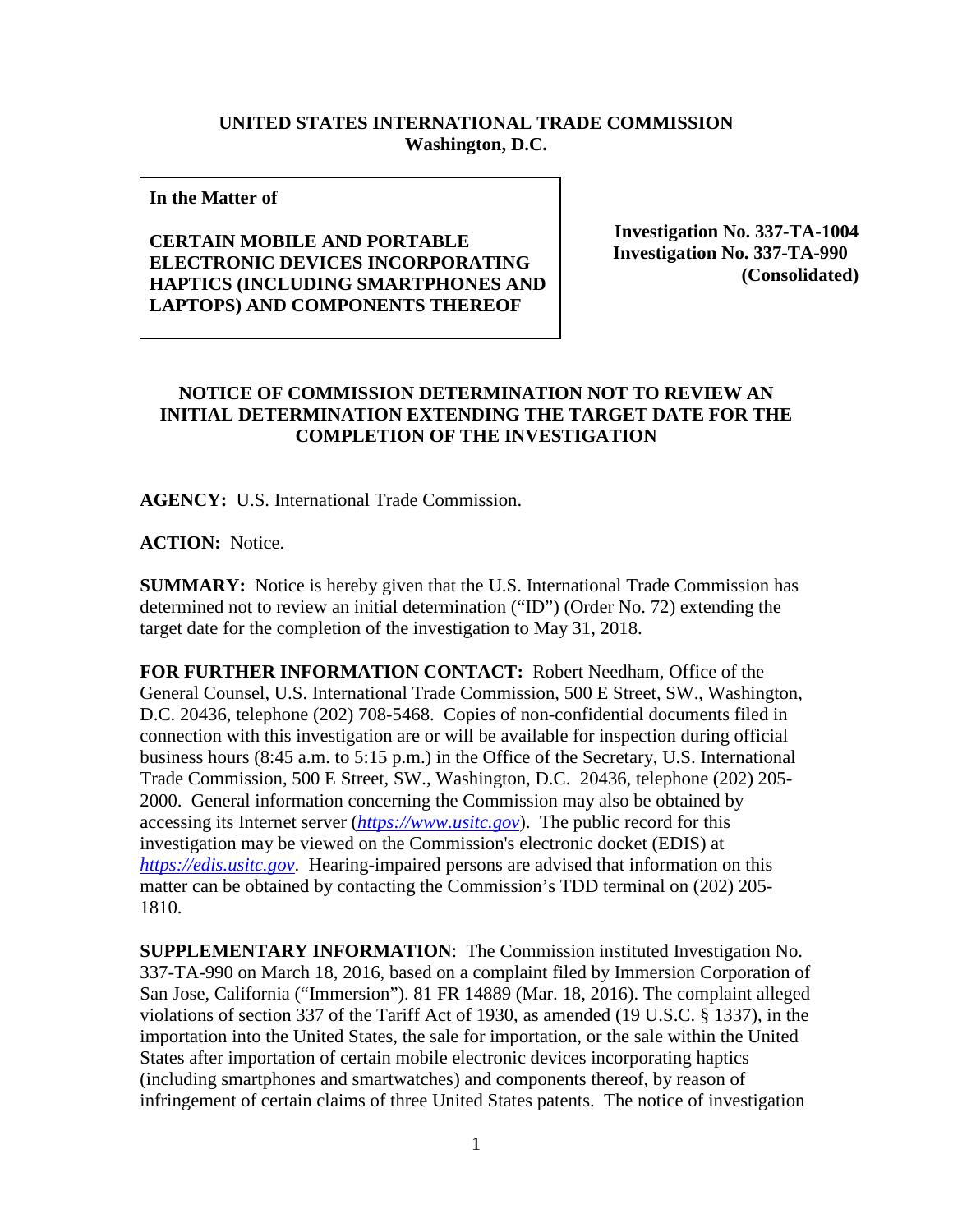## **UNITED STATES INTERNATIONAL TRADE COMMISSION Washington, D.C.**

## **In the Matter of**

## **CERTAIN MOBILE AND PORTABLE ELECTRONIC DEVICES INCORPORATING HAPTICS (INCLUDING SMARTPHONES AND LAPTOPS) AND COMPONENTS THEREOF**

**Investigation No. 337-TA-1004 Investigation No. 337-TA-990 (Consolidated)**

## **NOTICE OF COMMISSION DETERMINATION NOT TO REVIEW AN INITIAL DETERMINATION EXTENDING THE TARGET DATE FOR THE COMPLETION OF THE INVESTIGATION**

**AGENCY:** U.S. International Trade Commission.

**ACTION:** Notice.

**SUMMARY:** Notice is hereby given that the U.S. International Trade Commission has determined not to review an initial determination ("ID") (Order No. 72) extending the target date for the completion of the investigation to May 31, 2018.

**FOR FURTHER INFORMATION CONTACT:** Robert Needham, Office of the General Counsel, U.S. International Trade Commission, 500 E Street, SW., Washington, D.C. 20436, telephone (202) 708-5468. Copies of non-confidential documents filed in connection with this investigation are or will be available for inspection during official business hours (8:45 a.m. to 5:15 p.m.) in the Office of the Secretary, U.S. International Trade Commission, 500 E Street, SW., Washington, D.C. 20436, telephone (202) 205- 2000. General information concerning the Commission may also be obtained by accessing its Internet server (*[https://www.usitc.gov](https://www.usitc.gov/)*). The public record for this investigation may be viewed on the Commission's electronic docket (EDIS) at *[https://edis.usitc.gov](https://edis.usitc.gov/)*. Hearing-impaired persons are advised that information on this matter can be obtained by contacting the Commission's TDD terminal on (202) 205- 1810.

**SUPPLEMENTARY INFORMATION**: The Commission instituted Investigation No. 337-TA-990 on March 18, 2016, based on a complaint filed by Immersion Corporation of San Jose, California ("Immersion"). 81 FR 14889 (Mar. 18, 2016). The complaint alleged violations of section 337 of the Tariff Act of 1930, as amended (19 U.S.C. § 1337), in the importation into the United States, the sale for importation, or the sale within the United States after importation of certain mobile electronic devices incorporating haptics (including smartphones and smartwatches) and components thereof, by reason of infringement of certain claims of three United States patents. The notice of investigation